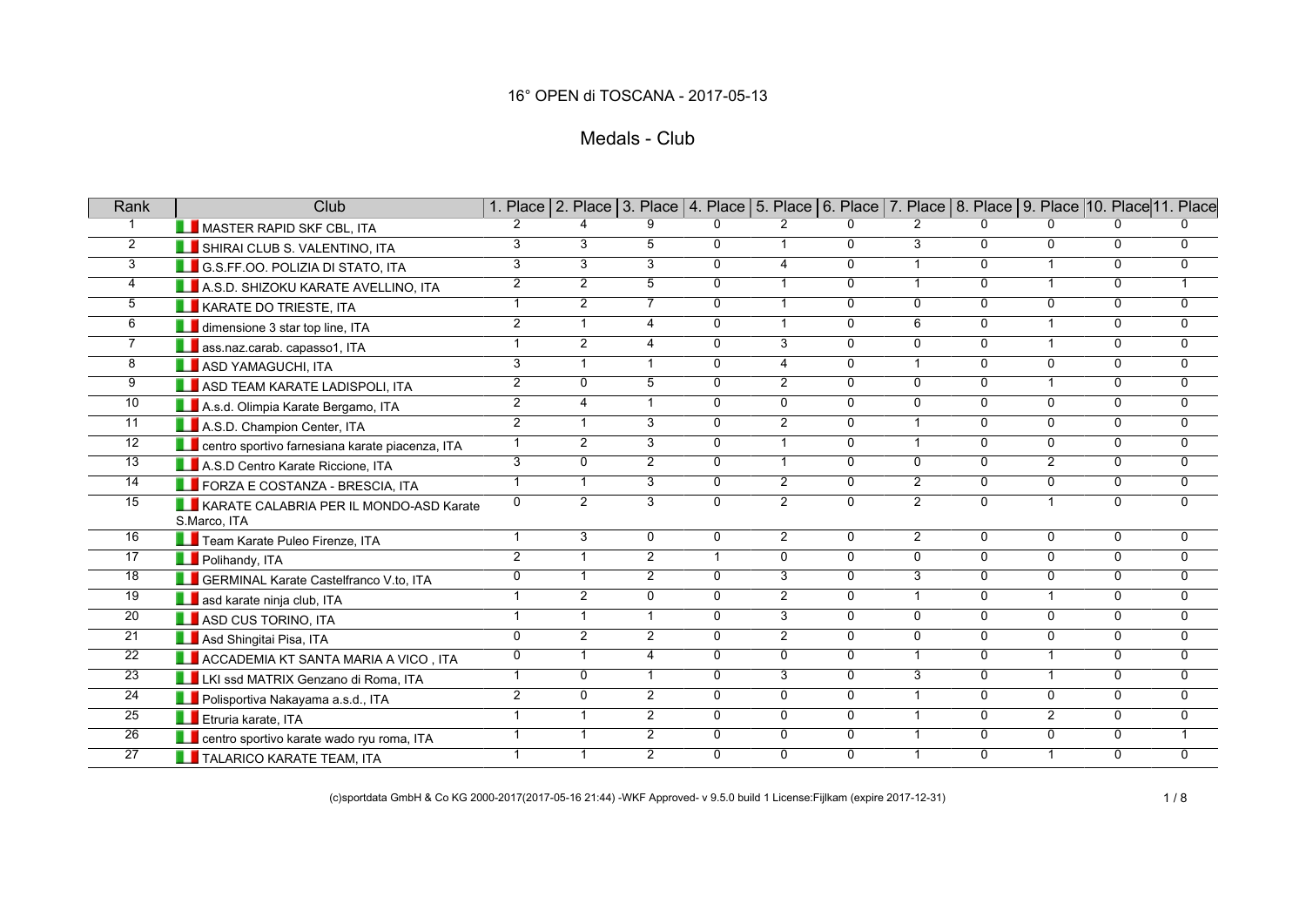# Medals - Club

| Rank            | Club                                                    |                |                |                 | 1. Place 2. Place 3. Place 4. Place 5. Place 6. Place 7. Place 8. Place 9. Place 10. Place 11. Place |                |                |                |                |                |                |                |
|-----------------|---------------------------------------------------------|----------------|----------------|-----------------|------------------------------------------------------------------------------------------------------|----------------|----------------|----------------|----------------|----------------|----------------|----------------|
| $\mathbf{1}$    | MASTER RAPID SKF CBL, ITA                               | $\mathbf{2}$   |                | 9               | $\Omega$                                                                                             | $\overline{2}$ | $\mathbf 0$    | $\mathbf{2}$   | $\Omega$       | 0              | $\Omega$       | O.             |
| $\overline{2}$  | SHIRAI CLUB S. VALENTINO, ITA                           | 3              | 3              | 5               | $\mathbf 0$                                                                                          | $\mathbf{1}$   | 0              | $\overline{3}$ | $\Omega$       | $\Omega$       | $\overline{0}$ | $\mathbf 0$    |
| $\overline{3}$  | <b>LE</b> G.S.FF.OO. POLIZIA DI STATO, ITA              | 3              | $\overline{3}$ | $\overline{3}$  | $\overline{0}$                                                                                       | $\overline{4}$ | $\overline{0}$ | $\mathbf{1}$   | $\overline{0}$ | $\overline{1}$ | $\overline{0}$ | $\overline{0}$ |
| $\overline{4}$  | A.S.D. SHIZOKU KARATE AVELLINO, ITA                     | $\overline{2}$ | $\overline{2}$ | $5\overline{)}$ | $\overline{0}$                                                                                       | $\mathbf{1}$   | $\overline{0}$ | $\mathbf{1}$   | $\overline{0}$ | $\mathbf{1}$   | $\overline{0}$ | $\mathbf{1}$   |
| 5               | <b>LE</b> KARATE DO TRIESTE, ITA                        | $\mathbf{1}$   | $\overline{2}$ | $\overline{7}$  | $\mathbf{0}$                                                                                         | $\mathbf{1}$   | $\mathbf 0$    | 0              | $\Omega$       | $\Omega$       | 0              | $\mathbf 0$    |
| 6               | dimensione 3 star top line, ITA                         | $\overline{2}$ | $\mathbf{1}$   | $\overline{4}$  | $\Omega$                                                                                             | $\mathbf{1}$   | $\overline{0}$ | 6              | $\overline{0}$ | $\mathbf{1}$   | $\overline{0}$ | $\overline{0}$ |
| $\overline{7}$  | <b>LE</b> ass.naz.carab. capasso1, ITA                  | $\mathbf{1}$   | $\overline{2}$ | 4               | $\Omega$                                                                                             | $\overline{3}$ | $\mathbf 0$    | $\mathbf{0}$   | $\Omega$       | $\overline{1}$ | 0              | $\mathbf 0$    |
| 8               | <b>LE</b> ASD YAMAGUCHI, ITA                            | $\overline{3}$ | $\mathbf{1}$   | $\mathbf{1}$    | $\mathbf 0$                                                                                          | $\overline{4}$ | $\overline{0}$ | $\mathbf{1}$   | $\overline{0}$ | 0              | $\overline{0}$ | $\overline{0}$ |
| 9               | ASD TEAM KARATE LADISPOLI, ITA                          | $\overline{2}$ | $\mathbf{0}$   | 5               | $\Omega$                                                                                             | $\overline{2}$ | $\overline{0}$ | $\Omega$       | $\Omega$       | $\mathbf{1}$   | $\overline{0}$ | $\overline{0}$ |
| 10              | A.s.d. Olimpia Karate Bergamo, ITA                      | $\overline{2}$ | $\overline{4}$ | $\mathbf{1}$    | $\Omega$                                                                                             | $\overline{0}$ | $\overline{0}$ | $\mathbf{0}$   | $\overline{0}$ | $\mathbf{0}$   | $\overline{0}$ | $\mathbf 0$    |
| $\overline{11}$ | A.S.D. Champion Center, ITA                             | $\overline{2}$ | $\mathbf{1}$   | $\overline{3}$  | $\Omega$                                                                                             | $\overline{2}$ | 0              | $\mathbf{1}$   | $\overline{0}$ | $\Omega$       | $\overline{0}$ | $\overline{0}$ |
| $\overline{12}$ | centro sportivo farnesiana karate piacenza, ITA         | $\mathbf{1}$   | $\overline{2}$ | 3               | $\Omega$                                                                                             | $\mathbf{1}$   | $\mathbf 0$    | $\mathbf{1}$   | $\Omega$       | $\mathbf{0}$   | 0              | $\mathbf 0$    |
| $\overline{13}$ | A.S.D Centro Karate Riccione, ITA                       | $\overline{3}$ | $\Omega$       | $\overline{2}$  | $\Omega$                                                                                             | $\mathbf{1}$   | $\overline{0}$ | $\Omega$       | $\overline{0}$ | $\overline{2}$ | $\overline{0}$ | $\mathbf{0}$   |
| $\overline{14}$ | <b>LE</b> FORZA E COSTANZA - BRESCIA, ITA               | $\overline{1}$ | $\overline{1}$ | $\overline{3}$  | $\overline{0}$                                                                                       | $\overline{2}$ | $\overline{0}$ | $\overline{2}$ | $\overline{0}$ | $\overline{0}$ | $\overline{0}$ | $\overline{0}$ |
| 15              | KARATE CALABRIA PER IL MONDO-ASD Karate<br>S.Marco, ITA | 0              | $\overline{2}$ | $\overline{3}$  | $\overline{0}$                                                                                       | $\overline{2}$ | $\overline{0}$ | $\overline{2}$ | $\overline{0}$ | $\overline{1}$ | $\overline{0}$ | $\overline{0}$ |
| $\overline{16}$ | Team Karate Puleo Firenze, ITA                          | $\overline{1}$ | $\overline{3}$ | $\mathbf{0}$    | $\overline{0}$                                                                                       | $\overline{2}$ | $\overline{0}$ | $\overline{2}$ | $\Omega$       | $\mathbf{0}$   | $\overline{0}$ | $\Omega$       |
| $\overline{17}$ | Polihandy, ITA                                          | $\overline{2}$ | $\mathbf 1$    | $\overline{2}$  | $\mathbf{1}$                                                                                         | $\overline{0}$ | $\mathbf 0$    | $\overline{0}$ | $\overline{0}$ | $\Omega$       | $\overline{0}$ | $\Omega$       |
| 18              | <b>LE</b> GERMINAL Karate Castelfranco V.to, ITA        | $\overline{0}$ | $\overline{1}$ | $\overline{2}$  | $\overline{0}$                                                                                       | 3              | $\overline{0}$ | $\overline{3}$ | $\mathbf{0}$   | $\Omega$       | $\overline{0}$ | $\overline{0}$ |
| 19              | <b>LE</b> asd karate ninja club, ITA                    | $\overline{1}$ | $\overline{2}$ | $\overline{0}$  | $\mathbf 0$                                                                                          | $\overline{2}$ | $\mathbf 0$    | $\mathbf{1}$   | $\Omega$       | $\mathbf{1}$   | $\overline{0}$ | $\overline{0}$ |
| 20              | <b>LE</b> ASD CUS TORINO, ITA                           | $\mathbf{1}$   | $\mathbf{1}$   | $\mathbf{1}$    | $\Omega$                                                                                             | $\overline{3}$ | $\mathbf 0$    | $\Omega$       | $\Omega$       | $\Omega$       | 0              | $\mathbf{0}$   |
| 21              | Asd Shingitai Pisa, ITA                                 | 0              | $\overline{2}$ | $\overline{2}$  | $\Omega$                                                                                             | $\overline{2}$ | 0              | $\Omega$       | $\Omega$       | $\Omega$       | 0              | $\mathbf 0$    |
| $\overline{22}$ | <b>LE ACCADEMIA KT SANTA MARIA A VICO, ITA</b>          | $\overline{0}$ | $\overline{1}$ | $\overline{4}$  | $\overline{0}$                                                                                       | $\overline{0}$ | $\overline{0}$ | $\mathbf{1}$   | $\overline{0}$ | $\overline{1}$ | $\overline{0}$ | $\overline{0}$ |
| $\overline{23}$ | LKI ssd MATRIX Genzano di Roma, ITA                     | $\mathbf{1}$   | $\Omega$       | $\mathbf{1}$    | $\Omega$                                                                                             | $\overline{3}$ | $\mathbf{0}$   | 3              | $\Omega$       | $\mathbf{1}$   | $\mathbf{0}$   | $\mathbf{0}$   |
| 24              | Polisportiva Nakayama a.s.d., ITA                       | $\overline{2}$ | $\mathbf{0}$   | $\overline{2}$  | $\Omega$                                                                                             | 0              | $\mathbf 0$    | $\mathbf{1}$   | $\Omega$       | $\mathbf{0}$   | 0              | $\mathbf 0$    |
| $\overline{25}$ | <b>Exercise</b> Etruria karate, ITA                     | $\overline{1}$ | $\overline{1}$ | $\overline{2}$  | $\overline{0}$                                                                                       | $\overline{0}$ | $\overline{0}$ | $\mathbf{1}$   | $\overline{0}$ | $\overline{2}$ | $\overline{0}$ | $\overline{0}$ |
| $\overline{26}$ | <b>LE</b> centro sportivo karate wado ryu roma, ITA     | $\mathbf{1}$   | $\overline{1}$ | $\overline{2}$  | $\Omega$                                                                                             | $\overline{0}$ | $\mathbf 0$    | $\mathbf{1}$   | $\Omega$       | $\Omega$       | $\overline{0}$ | $\mathbf{1}$   |
| 27              | <b>THE TALARICO KARATE TEAM, ITA</b>                    | $\mathbf{1}$   | -1             | $\overline{2}$  | $\Omega$                                                                                             | 0              | $\mathbf 0$    | 1              | $\mathbf{0}$   | $\mathbf{1}$   | 0              | 0              |

(c)sportdata GmbH & Co KG 2000-2017(2017-05-16 21:44) -WKF Approved- v 9.5.0 build 1 License:Fijlkam (expire 2017-12-31) 1 / 8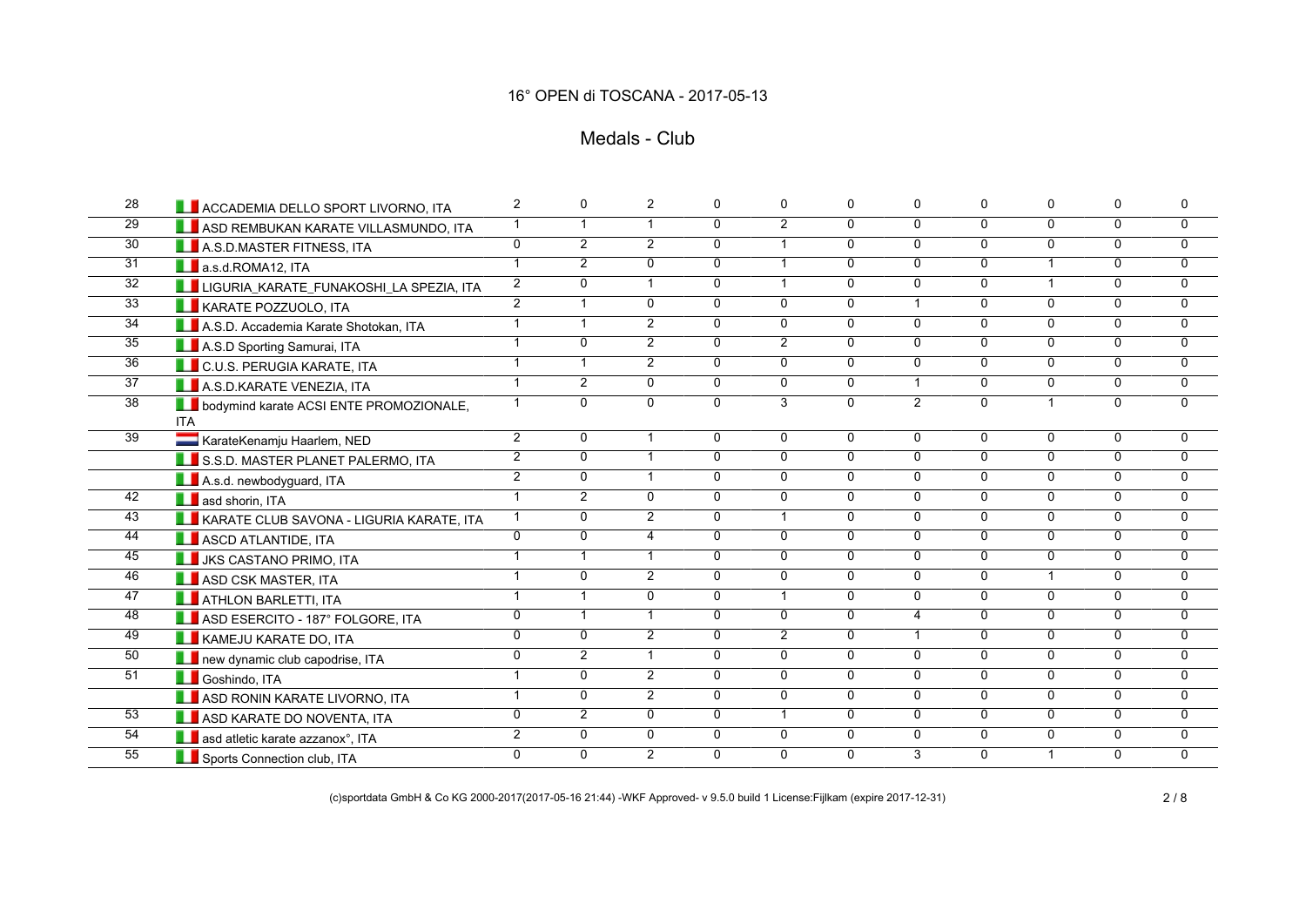## Medals - Club

| 28              | <b>LE</b> ACCADEMIA DELLO SPORT LIVORNO, ITA                    | 2              | $\mathbf 0$    | $\overline{2}$       | $\mathbf 0$    | 0              | $\mathbf 0$    | 0              | $\mathbf{0}$   | $\mathbf 0$          | $\Omega$       | $\mathbf 0$    |
|-----------------|-----------------------------------------------------------------|----------------|----------------|----------------------|----------------|----------------|----------------|----------------|----------------|----------------------|----------------|----------------|
| $\overline{29}$ | ASD REMBUKAN KARATE VILLASMUNDO, ITA                            | $\mathbf{1}$   | $\mathbf{1}$   | $\overline{1}$       | $\overline{0}$ | $\overline{2}$ | $\overline{0}$ | $\overline{0}$ | $\overline{0}$ | $\overline{0}$       | $\mathbf{0}$   | 0              |
| 30              | A.S.D.MASTER FITNESS, ITA                                       | $\overline{0}$ | $\overline{2}$ | $\overline{2}$       | $\mathbf{0}$   | $\mathbf{1}$   | $\overline{0}$ | $\Omega$       | $\overline{0}$ | $\overline{0}$       | $\mathbf{0}$   | $\overline{0}$ |
| $\overline{31}$ | <b>A.</b> a.s.d.ROMA12, ITA                                     | $\overline{1}$ | $\overline{2}$ | 0                    | $\overline{0}$ | $\mathbf{1}$   | $\overline{0}$ | $\overline{0}$ | $\overline{0}$ | $\mathbf{1}$         | $\overline{0}$ | $\mathbf{0}$   |
| $\overline{32}$ | LIGURIA_KARATE_FUNAKOSHI_LA SPEZIA, ITA                         | $\overline{2}$ | $\Omega$       | $\blacktriangleleft$ | $\mathbf{0}$   | $\mathbf{1}$   | $\overline{0}$ | $\Omega$       | $\Omega$       | $\mathbf{1}$         | $\mathbf{0}$   | 0              |
| $\overline{33}$ | <b>LE</b> KARATE POZZUOLO, ITA                                  | $\overline{2}$ | $\overline{1}$ | $\mathbf{0}$         | $\Omega$       | $\Omega$       | $\mathbf 0$    | $\mathbf{1}$   | $\Omega$       | $\Omega$             | $\Omega$       | 0              |
| $\overline{34}$ | A.S.D. Accademia Karate Shotokan, ITA                           | $\mathbf{1}$   | $\mathbf{1}$   | $\overline{2}$       | $\overline{0}$ | $\Omega$       | $\overline{0}$ | $\overline{0}$ | $\overline{0}$ | $\overline{0}$       | $\Omega$       | 0              |
| 35              | A.S.D Sporting Samurai, ITA                                     | $\overline{1}$ | $\mathbf 0$    | $\overline{2}$       | $\mathbf{0}$   | $\overline{2}$ | $\mathbf 0$    | $\Omega$       | $\Omega$       | $\Omega$             | $\mathbf{0}$   | 0              |
| 36              | <b>C.U.S. PERUGIA KARATE, ITA</b>                               | $\mathbf{1}$   | $\mathbf{1}$   | $\overline{2}$       | $\mathbf{0}$   | 0              | $\mathsf{O}$   | $\mathbf 0$    | $\mathbf{0}$   | $\mathbf{0}$         | $\mathbf 0$    | 0              |
| $\overline{37}$ | A.S.D.KARATE VENEZIA, ITA                                       | $\overline{1}$ | $\overline{2}$ | $\overline{0}$       | $\overline{0}$ | $\overline{0}$ | $\overline{0}$ | $\overline{1}$ | $\overline{0}$ | $\overline{0}$       | $\overline{0}$ | $\overline{0}$ |
| $\overline{38}$ | <b>LE</b> bodymind karate ACSI ENTE PROMOZIONALE,<br><b>ITA</b> | $\mathbf{1}$   | $\Omega$       | $\Omega$             | $\overline{0}$ | $\overline{3}$ | $\overline{0}$ | $\overline{2}$ | $\Omega$       | $\blacktriangleleft$ | $\overline{0}$ | $\overline{0}$ |
| $\overline{39}$ | KarateKenamju Haarlem, NED                                      | $\overline{2}$ | $\Omega$       | $\mathbf{1}$         | $\mathbf{0}$   | $\Omega$       | $\mathbf 0$    | $\Omega$       | $\Omega$       | $\Omega$             | $\Omega$       | $\Omega$       |
|                 | S.S.D. MASTER PLANET PALERMO, ITA                               | $\overline{2}$ | 0              | $\overline{1}$       | $\mathbf{0}$   | $\Omega$       | $\overline{0}$ | $\mathbf{0}$   | $\Omega$       | $\Omega$             | $\Omega$       | 0              |
|                 | A.s.d. newbodyguard, ITA                                        | $\overline{2}$ | $\mathbf{0}$   | $\overline{1}$       | $\Omega$       | $\overline{0}$ | $\overline{0}$ | $\Omega$       | $\Omega$       | $\Omega$             | $\Omega$       | $\overline{0}$ |
| 42              | <b>A</b> asd shorin, ITA                                        | $\overline{1}$ | 2              | $\overline{0}$       | $\Omega$       | $\overline{0}$ | $\overline{0}$ | $\overline{0}$ | $\Omega$       | $\Omega$             | $\Omega$       | $\overline{0}$ |
| 43              | <b>LE KARATE CLUB SAVONA - LIGURIA KARATE, ITA</b>              | $\mathbf{1}$   | $\mathbf 0$    | $\overline{2}$       | $\overline{0}$ | $\mathbf{1}$   | $\overline{0}$ | $\overline{0}$ | $\overline{0}$ | $\overline{0}$       | $\overline{0}$ | $\overline{0}$ |
| 44              | <b>LE</b> ASCD ATLANTIDE, ITA                                   | $\overline{0}$ | $\overline{0}$ | $\overline{4}$       | $\overline{0}$ | $\overline{0}$ | $\overline{0}$ | $\overline{0}$ | $\overline{0}$ | $\overline{0}$       | $\mathbf{0}$   | $\overline{0}$ |
| 45              | <b>LE</b> JKS CASTANO PRIMO, ITA                                | $\mathbf{1}$   | $\overline{1}$ | $\mathbf{1}$         | $\overline{0}$ | $\overline{0}$ | $\overline{0}$ | $\overline{0}$ | $\overline{0}$ | $\overline{0}$       | $\overline{0}$ | $\overline{0}$ |
| 46              | <b>LEASE CSK MASTER, ITA</b>                                    | $\mathbf{1}$   | $\Omega$       | $\overline{2}$       | $\mathbf{0}$   | $\mathbf{0}$   | $\mathbf 0$    | $\mathbf{0}$   | $\Omega$       | $\mathbf{1}$         | $\mathbf{0}$   | $\overline{0}$ |
| 47              | <b>THE ATHLON BARLETTI, ITA</b>                                 | $\mathbf{1}$   | $\mathbf{1}$   | $\mathbf{0}$         | $\mathbf{0}$   | $\mathbf{1}$   | $\overline{0}$ | $\overline{0}$ | $\mathbf{0}$   | $\Omega$             | $\Omega$       | 0              |
| 48              | ASD ESERCITO - 187° FOLGORE, ITA                                | $\overline{0}$ | $\overline{1}$ | $\blacktriangleleft$ | $\overline{0}$ | $\overline{0}$ | $\overline{0}$ | $\overline{4}$ | $\overline{0}$ | $\overline{0}$       | $\Omega$       | 0              |
| 49              | KAMEJU KARATE DO, ITA                                           | $\Omega$       | $\mathbf{0}$   | $\overline{2}$       | $\Omega$       | $\overline{2}$ | $\mathbf 0$    | $\overline{1}$ | $\Omega$       | $\Omega$             | $\Omega$       | 0              |
| 50              | new dynamic club capodrise, ITA                                 | $\overline{0}$ | $\overline{2}$ | $\overline{1}$       | $\mathbf{0}$   | $\mathbf{0}$   | $\overline{0}$ | $\mathbf 0$    | $\mathbf{0}$   | $\mathbf{0}$         | $\mathbf{0}$   | 0              |
| 51              | <b>Coshindo, ITA</b>                                            | $\overline{1}$ | $\Omega$       | $\overline{2}$       | $\Omega$       | $\mathbf{0}$   | $\mathbf{0}$   | $\Omega$       | $\Omega$       | $\Omega$             | $\Omega$       | $\overline{0}$ |
|                 | <b>LE</b> ASD RONIN KARATE LIVORNO, ITA                         | $\overline{1}$ | $\mathbf 0$    | $\overline{2}$       | $\overline{0}$ | $\overline{0}$ | $\overline{0}$ | $\overline{0}$ | $\overline{0}$ | $\overline{0}$       | $\overline{0}$ | $\overline{0}$ |
| 53              | <b>LE</b> ASD KARATE DO NOVENTA, ITA                            | $\overline{0}$ | $\overline{2}$ | $\overline{0}$       | $\overline{0}$ | $\mathbf{1}$   | $\overline{0}$ | $\overline{0}$ | $\overline{0}$ | $\overline{0}$       | $\overline{0}$ | $\overline{0}$ |
| 54              | asd atletic karate azzanox°, ITA                                | $\overline{2}$ | $\mathbf 0$    | 0                    | $\mathbf 0$    | 0              | $\overline{0}$ | $\overline{0}$ | $\mathbf 0$    | $\mathbf 0$          | $\mathbf 0$    | $\overline{0}$ |
| 55              | Sports Connection club, ITA                                     | $\overline{0}$ | $\Omega$       | $\overline{2}$       | $\overline{0}$ | $\mathbf{0}$   | $\overline{0}$ | $\overline{3}$ | $\Omega$       | $\mathbf{1}$         | $\mathbf{0}$   | $\Omega$       |

(c)sportdata GmbH & Co KG 2000-2017(2017-05-16 21:44) -WKF Approved- v 9.5.0 build 1 License:Fijlkam (expire 2017-12-31) 2 / 8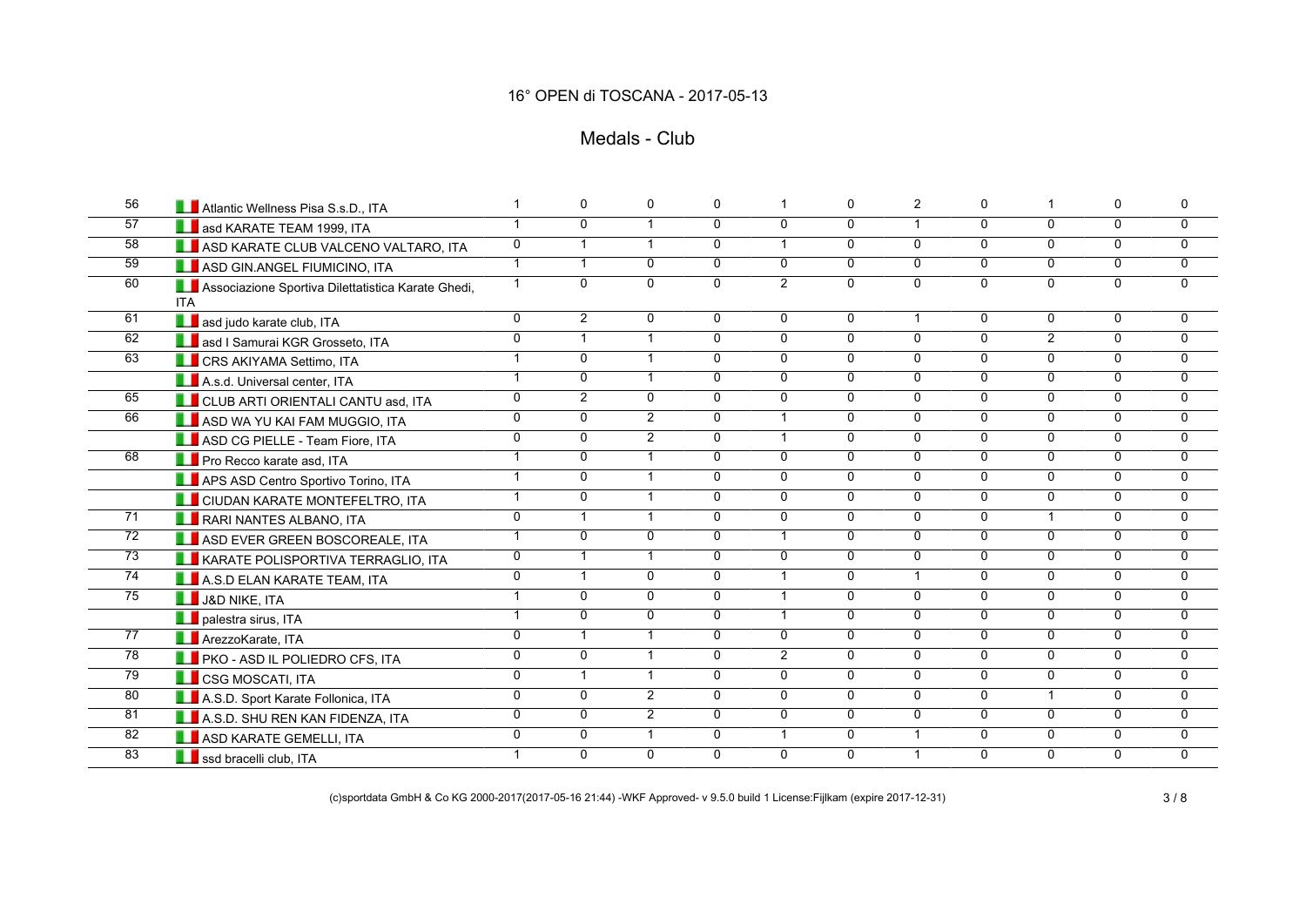### Medals - Club

| 56              | Atlantic Wellness Pisa S.s.D., ITA                               |                | $\Omega$       | $\Omega$                | $\mathbf{0}$   | 1              | $\mathbf 0$    | 2              | $\mathbf{0}$   | $\mathbf{1}$   | $\mathbf{0}$   | $\Omega$       |
|-----------------|------------------------------------------------------------------|----------------|----------------|-------------------------|----------------|----------------|----------------|----------------|----------------|----------------|----------------|----------------|
| 57              | <b>LE</b> asd KARATE TEAM 1999, ITA                              | $\mathbf{1}$   | $\mathbf 0$    |                         | $\mathbf{0}$   | $\Omega$       | $\overline{0}$ | $\mathbf{1}$   | $\overline{0}$ | $\overline{0}$ | $\mathbf{0}$   | 0              |
| $\overline{58}$ | ASD KARATE CLUB VALCENO VALTARO, ITA                             | $\overline{0}$ | $\mathbf{1}$   | $\overline{1}$          | $\overline{0}$ | $\overline{1}$ | $\overline{0}$ | $\overline{0}$ | $\overline{0}$ | $\overline{0}$ | $\mathbf{0}$   | $\overline{0}$ |
| 59              | ASD GIN.ANGEL FIUMICINO, ITA                                     | $\mathbf{1}$   | $\mathbf{1}$   | $\Omega$                | $\mathbf{0}$   | 0              | $\overline{0}$ | $\Omega$       | $\Omega$       | $\overline{0}$ | $\Omega$       | 0              |
| 60              | Associazione Sportiva Dilettatistica Karate Ghedi,<br><b>ITA</b> | $\mathbf{1}$   | $\overline{0}$ | $\Omega$                | $\overline{0}$ | $\overline{2}$ | $\overline{0}$ | $\overline{0}$ | $\Omega$       | $\overline{0}$ | $\mathbf{0}$   | $\overline{0}$ |
| 61              | asd judo karate club, ITA                                        | $\overline{0}$ | $\overline{2}$ | $\mathbf 0$             | 0              | 0              | 0              | $\mathbf{1}$   | $\Omega$       | $\mathbf{0}$   | $\Omega$       | 0              |
| 62              | <b>LE</b> asd I Samurai KGR Grosseto, ITA                        | $\overline{0}$ | $\mathbf{1}$   | $\overline{1}$          | $\overline{0}$ | $\overline{0}$ | $\overline{0}$ | $\overline{0}$ | $\overline{0}$ | $\overline{2}$ | $\Omega$       | 0              |
| 63              | <b>LE</b> CRS AKIYAMA Settimo, ITA                               | $\mathbf{1}$   | $\mathbf 0$    | $\overline{1}$          | $\mathbf{0}$   | $\mathbf{0}$   | 0              | $\mathbf 0$    | $\overline{0}$ | $\overline{0}$ | $\mathbf{0}$   | 0              |
|                 | A.s.d. Universal center, ITA                                     | $\mathbf{1}$   | $\overline{0}$ | $\overline{\mathbf{1}}$ | $\overline{0}$ | 0              | $\overline{0}$ | $\overline{0}$ | $\overline{0}$ | $\overline{0}$ | $\overline{0}$ | $\overline{0}$ |
| 65              | <b>LE</b> CLUB ARTI ORIENTALI CANTU asd, ITA                     | $\overline{0}$ | $\overline{2}$ | $\overline{0}$          | $\overline{0}$ | $\overline{0}$ | $\overline{0}$ | $\overline{0}$ | $\overline{0}$ | $\overline{0}$ | $\overline{0}$ | $\overline{0}$ |
| 66              | ASD WA YU KAI FAM MUGGIO, ITA                                    | $\overline{0}$ | $\overline{0}$ | $\overline{2}$          | $\overline{0}$ | $\mathbf{1}$   | $\overline{0}$ | $\overline{0}$ | $\overline{0}$ | $\overline{0}$ | $\overline{0}$ | $\mathbf 0$    |
|                 | ASD CG PIELLE - Team Fiore, ITA                                  | $\overline{0}$ | $\mathbf 0$    | $\overline{2}$          | $\mathbf{0}$   | $\mathbf{1}$   | $\overline{0}$ | $\mathbf 0$    | $\overline{0}$ | $\overline{0}$ | $\mathbf{0}$   | $\overline{0}$ |
| 68              | Pro Recco karate asd, ITA                                        | $\mathbf{1}$   | $\mathbf 0$    |                         | $\Omega$       | 0              | $\overline{0}$ | $\overline{0}$ | $\mathbf{0}$   | $\mathbf 0$    | $\mathbf 0$    | 0              |
|                 | APS ASD Centro Sportivo Torino, ITA                              | $\overline{1}$ | $\overline{0}$ | $\overline{1}$          | $\overline{0}$ | $\overline{0}$ | $\overline{0}$ | $\overline{0}$ | $\overline{0}$ | $\overline{0}$ | $\mathbf{0}$   | $\mathbf 0$    |
|                 | <b>LE</b> CIUDAN KARATE MONTEFELTRO, ITA                         | $\mathbf{1}$   | $\overline{0}$ | -1                      | $\mathbf{0}$   | $\overline{0}$ | $\overline{0}$ | $\overline{0}$ | $\overline{0}$ | $\overline{0}$ | $\overline{0}$ | $\overline{0}$ |
| 71              | <b>LE</b> RARI NANTES ALBANO, ITA                                | $\overline{0}$ | $\mathbf{1}$   |                         | $\mathbf{0}$   | $\Omega$       | $\overline{0}$ | $\mathbf 0$    | $\Omega$       | $\mathbf{1}$   | $\mathbf 0$    | 0              |
| $\overline{72}$ | ASD EVER GREEN BOSCOREALE, ITA                                   | $\mathbf{1}$   | $\overline{0}$ | $\Omega$                | $\Omega$       | $\mathbf{1}$   | $\overline{0}$ | $\overline{0}$ | $\overline{0}$ | $\overline{0}$ | $\Omega$       | $\overline{0}$ |
| 73              | <b>LE KARATE POLISPORTIVA TERRAGLIO, ITA</b>                     | 0              | $\mathbf{1}$   | $\overline{1}$          | $\Omega$       | $\Omega$       | $\overline{0}$ | $\overline{0}$ | $\overline{0}$ | $\Omega$       | $\mathbf{0}$   | 0              |
| 74              | A.S.D ELAN KARATE TEAM, ITA                                      | $\overline{0}$ | $\mathbf{1}$   | $\mathbf{0}$            | $\mathbf{0}$   | $\mathbf{1}$   | $\overline{0}$ | $\mathbf{1}$   | $\Omega$       | $\Omega$       | $\mathbf{0}$   | 0              |
| $\overline{75}$ | J&D NIKE, ITA                                                    | $\overline{1}$ | $\mathbf 0$    | $\Omega$                | $\Omega$       | $\mathbf{1}$   | 0              | $\Omega$       | $\Omega$       | $\Omega$       | $\Omega$       | 0              |
|                 | <b>Depalestra sirus, ITA</b>                                     | $\mathbf{1}$   | $\overline{0}$ | $\overline{0}$          | $\overline{0}$ | $\overline{1}$ | $\overline{0}$ | $\overline{0}$ | $\overline{0}$ | $\overline{0}$ | $\overline{0}$ | $\overline{0}$ |
| $\overline{77}$ | <b>ArezzoKarate, ITA</b>                                         | $\overline{0}$ | $\mathbf{1}$   | $\overline{1}$          | $\Omega$       | $\mathbf{0}$   | $\overline{0}$ | $\mathbf 0$    | $\overline{0}$ | $\Omega$       | $\mathbf{0}$   | $\overline{0}$ |
| $\overline{78}$ | <b>FINDITY AND IL POLIEDRO CFS. ITA</b>                          | $\overline{0}$ | $\overline{0}$ |                         | $\overline{0}$ | $\overline{2}$ | $\overline{0}$ | $\overline{0}$ | $\overline{0}$ | $\overline{0}$ | $\overline{0}$ | $\overline{0}$ |
| 79              | <b>LE</b> CSG MOSCATI, ITA                                       | $\overline{0}$ | $\overline{1}$ | $\overline{1}$          | $\overline{0}$ | $\overline{0}$ | $\overline{0}$ | $\overline{0}$ | $\overline{0}$ | $\overline{0}$ | $\overline{0}$ | $\overline{0}$ |
| 80              | A.S.D. Sport Karate Follonica, ITA                               | $\overline{0}$ | $\mathbf 0$    | $\overline{2}$          | $\overline{0}$ | $\overline{0}$ | $\overline{0}$ | $\overline{0}$ | $\overline{0}$ | $\mathbf{1}$   | $\overline{0}$ | 0              |
| 81              | A.S.D. SHU REN KAN FIDENZA, ITA                                  | $\overline{0}$ | $\overline{0}$ | $\overline{2}$          | $\overline{0}$ | $\overline{0}$ | $\overline{0}$ | $\overline{0}$ | $\overline{0}$ | $\overline{0}$ | $\overline{0}$ | $\overline{0}$ |
| 82              | ASD KARATE GEMELLI, ITA                                          | $\overline{0}$ | $\mathbf 0$    | $\overline{1}$          | $\Omega$       | $\mathbf{1}$   | $\overline{0}$ | $\mathbf{1}$   | $\Omega$       | $\Omega$       | $\Omega$       | $\overline{0}$ |
| 83              | ssd bracelli club, ITA                                           | $\mathbf{1}$   | $\overline{0}$ | $\Omega$                | $\mathbf{0}$   | $\Omega$       | $\overline{0}$ | $\mathbf{1}$   | $\Omega$       | $\overline{0}$ | $\mathbf{0}$   | 0              |

(c)sportdata GmbH & Co KG 2000-2017(2017-05-16 21:44) -WKF Approved- v 9.5.0 build 1 License:Fijlkam (expire 2017-12-31) 3 / 8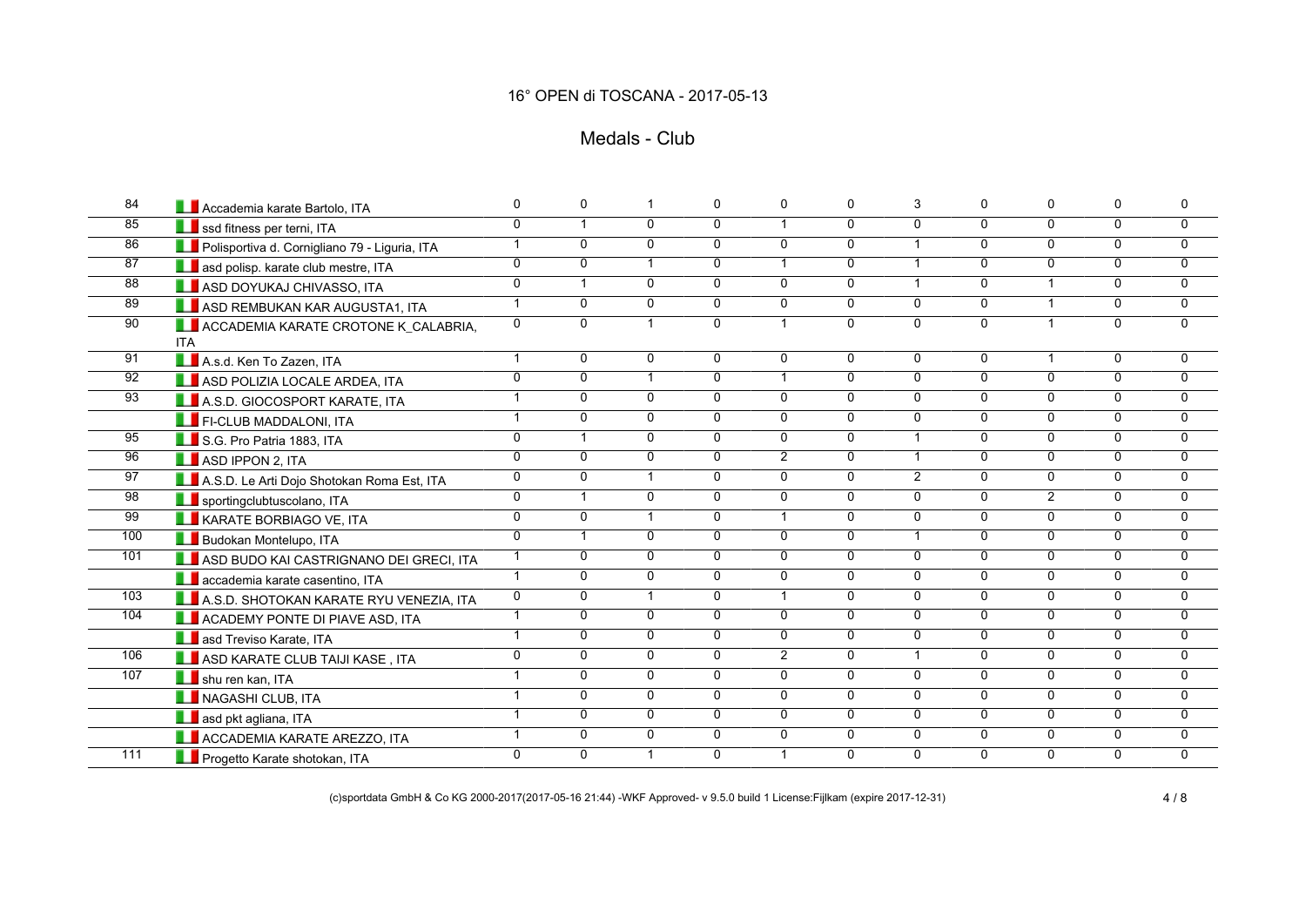### Medals - Club

| 84              | Accademia karate Bartolo, ITA                      | $\mathbf 0$    | 0              | -1             | $\mathbf 0$    | 0              | $\mathbf 0$    | 3              | $\mathbf{0}$   | $\mathbf 0$    | $\Omega$       | $\mathbf 0$    |
|-----------------|----------------------------------------------------|----------------|----------------|----------------|----------------|----------------|----------------|----------------|----------------|----------------|----------------|----------------|
| 85              | Ssd fitness per terni, ITA                         | $\overline{0}$ | $\mathbf{1}$   | 0              | $\overline{0}$ | $\mathbf{1}$   | $\overline{0}$ | $\overline{0}$ | $\overline{0}$ | $\overline{0}$ | $\mathbf{0}$   | 0              |
| 86              | Polisportiva d. Cornigliano 79 - Liguria, ITA      | $\mathbf{1}$   | $\overline{0}$ | 0              | $\mathbf{0}$   | $\overline{0}$ | $\overline{0}$ | $\mathbf{1}$   | $\overline{0}$ | $\Omega$       | $\mathbf{0}$   | $\overline{0}$ |
| 87              | asd polisp. karate club mestre, ITA                | $\overline{0}$ | $\Omega$       |                | $\overline{0}$ | $\mathbf{1}$   | $\overline{0}$ | $\overline{1}$ | $\overline{0}$ | $\overline{0}$ | $\mathbf{0}$   | $\Omega$       |
| 88              | <b>LE</b> ASD DOYUKAJ CHIVASSO, ITA                | $\overline{0}$ | $\mathbf{1}$   | 0              | $\mathbf{0}$   | $\mathbf{0}$   | $\overline{0}$ | $\mathbf{1}$   | $\Omega$       | $\mathbf{1}$   | $\mathbf{0}$   | $\Omega$       |
| 89              | ASD REMBUKAN KAR AUGUSTA1, ITA                     | $\mathbf{1}$   | $\mathbf{0}$   | 0              | $\mathbf{0}$   | $\mathbf{0}$   | $\overline{0}$ | $\mathbf{0}$   | $\Omega$       | $\mathbf{1}$   | $\Omega$       | 0              |
| 90              | ACCADEMIA KARATE CROTONE K_CALABRIA,<br><b>ITA</b> | $\mathbf 0$    | $\Omega$       | $\overline{1}$ | $\overline{0}$ | $\mathbf{1}$   | $\overline{0}$ | $\overline{0}$ | $\overline{0}$ | $\mathbf{1}$   | $\Omega$       | $\Omega$       |
| $\overline{91}$ | A.s.d. Ken To Zazen, ITA                           | $\mathbf{1}$   | $\mathbf 0$    | $\Omega$       | 0              | 0              | $\overline{0}$ | $\mathbf 0$    | $\mathbf{0}$   | $\mathbf{1}$   | $\Omega$       | $\Omega$       |
| 92              | ASD POLIZIA LOCALE ARDEA, ITA                      | $\overline{0}$ | 0              | $\mathbf{1}$   | $\overline{0}$ | $\mathbf{1}$   | $\overline{0}$ | $\mathbf 0$    | $\overline{0}$ | $\overline{0}$ | $\mathbf 0$    | 0              |
| $\overline{93}$ | A.S.D. GIOCOSPORT KARATE, ITA                      | $\overline{1}$ | $\Omega$       | 0              | $\mathbf{0}$   | $\mathbf{0}$   | $\overline{0}$ | $\Omega$       | $\mathbf{0}$   | $\mathbf{0}$   | $\mathbf{0}$   | $\Omega$       |
|                 | <b>FI-CLUB MADDALONI, ITA</b>                      | $\mathbf{1}$   | $\Omega$       | 0              | $\overline{0}$ | $\overline{0}$ | $\overline{0}$ | $\overline{0}$ | $\overline{0}$ | $\overline{0}$ | $\Omega$       | $\mathbf{0}$   |
| $\overline{95}$ | S.G. Pro Patria 1883, ITA                          | $\mathbf 0$    | $\mathbf{1}$   | 0              | $\Omega$       | $\Omega$       | $\mathbf 0$    | $\mathbf{1}$   | $\Omega$       | $\mathbf{0}$   | $\mathbf{0}$   | $\Omega$       |
| 96              | ASD IPPON 2, ITA                                   | $\mathbf 0$    | 0              | 0              | $\mathbf{0}$   | $\overline{2}$ | 0              | $\overline{1}$ | $\Omega$       | $\Omega$       | $\mathbf 0$    | 0              |
| 97              | A.S.D. Le Arti Dojo Shotokan Roma Est, ITA         | 0              | $\mathbf{0}$   | $\overline{1}$ | $\Omega$       | $\overline{0}$ | $\overline{0}$ | $\overline{2}$ | $\Omega$       | $\mathbf{0}$   | $\mathbf{0}$   | $\mathbf{0}$   |
| 98              | sportingclubtuscolano, ITA                         | $\overline{0}$ | $\overline{1}$ | $\Omega$       | $\overline{0}$ | $\overline{0}$ | $\overline{0}$ | $\overline{0}$ | $\Omega$       | $\overline{2}$ | $\overline{0}$ | $\overline{0}$ |
| 99              | <b>LE</b> KARATE BORBIAGO VE, ITA                  | $\overline{0}$ | $\overline{0}$ |                | $\overline{0}$ | $\mathbf{1}$   | $\overline{0}$ | $\overline{0}$ | $\overline{0}$ | $\overline{0}$ | $\mathbf 0$    | 0              |
| 100             | <b>LE</b> Budokan Montelupo, ITA                   | $\overline{0}$ | $\mathbf{1}$   | $\Omega$       | $\overline{0}$ | $\overline{0}$ | $\overline{0}$ | $\mathbf{1}$   | $\overline{0}$ | $\overline{0}$ | $\mathbf{0}$   | $\overline{0}$ |
| 101             | ASD BUDO KAI CASTRIGNANO DEI GRECI, ITA            | $\mathbf{1}$   | $\mathbf 0$    | 0              | $\overline{0}$ | $\overline{0}$ | $\overline{0}$ | $\mathbf 0$    | $\overline{0}$ | $\overline{0}$ | $\mathbf 0$    | 0              |
|                 | <b>Laccademia karate casentino, ITA</b>            | $\mathbf{1}$   | $\Omega$       | 0              | $\mathbf{0}$   | $\mathbf{0}$   | $\mathbf 0$    | $\Omega$       | $\Omega$       | $\mathbf{0}$   | $\mathbf{0}$   | 0              |
| 103             | A.S.D. SHOTOKAN KARATE RYU VENEZIA, ITA            | $\mathbf 0$    | $\mathbf 0$    | $\mathbf 1$    | $\mathbf{0}$   | $\mathbf{1}$   | $\overline{0}$ | $\overline{0}$ | $\mathbf{0}$   | $\mathbf{0}$   | $\Omega$       | 0              |
| 104             | ACADEMY PONTE DI PIAVE ASD, ITA                    | $\mathbf{1}$   | $\mathbf{0}$   | $\overline{0}$ | $\overline{0}$ | $\mathbf{0}$   | $\overline{0}$ | $\overline{0}$ | $\overline{0}$ | $\overline{0}$ | $\Omega$       | 0              |
|                 | <b>LE</b> asd Treviso Karate, ITA                  | $\mathbf{1}$   | $\Omega$       | $\Omega$       | $\Omega$       | $\Omega$       | 0              | $\mathbf 0$    | $\Omega$       | $\Omega$       | $\mathbf{0}$   | 0              |
| 106             | <b>LEASD KARATE CLUB TAIJI KASE . ITA</b>          | $\mathbf 0$    | 0              | 0              | $\mathbf{0}$   | $\overline{2}$ | $\overline{0}$ | $\mathbf{1}$   | $\mathbf{0}$   | $\mathbf{0}$   | $\mathbf{0}$   | 0              |
| 107             | Shu ren kan, ITA                                   | $\overline{1}$ | $\Omega$       | 0              | $\Omega$       | $\Omega$       | $\mathbf{0}$   | $\Omega$       | $\Omega$       | $\Omega$       | $\Omega$       | $\mathbf{0}$   |
|                 | NAGASHI CLUB, ITA                                  | $\mathbf{1}$   | $\mathbf 0$    | $\overline{0}$ | $\overline{0}$ | $\overline{0}$ | $\overline{0}$ | $\overline{0}$ | $\overline{0}$ | $\overline{0}$ | $\overline{0}$ | $\overline{0}$ |
|                 | asd pkt agliana, ITA                               | $\overline{1}$ | $\overline{0}$ | $\overline{0}$ | $\overline{0}$ | $\overline{0}$ | $\overline{0}$ | $\overline{0}$ | $\overline{0}$ | $\overline{0}$ | $\overline{0}$ | $\overline{0}$ |
|                 | <b>LE</b> ACCADEMIA KARATE AREZZO, ITA             | $\mathbf{1}$   | $\mathbf 0$    | 0              | $\mathbf 0$    | 0              | $\overline{0}$ | $\overline{0}$ | $\mathbf 0$    | $\mathbf 0$    | $\mathbf 0$    | 0              |
| 111             | Progetto Karate shotokan, ITA                      | $\Omega$       | $\Omega$       |                | $\overline{0}$ | 1              | $\overline{0}$ | $\Omega$       | 0              | $\overline{0}$ | $\mathbf{0}$   | $\Omega$       |

(c)sportdata GmbH & Co KG 2000-2017(2017-05-16 21:44) -WKF Approved- v 9.5.0 build 1 License:Fijlkam (expire 2017-12-31) 4 / 8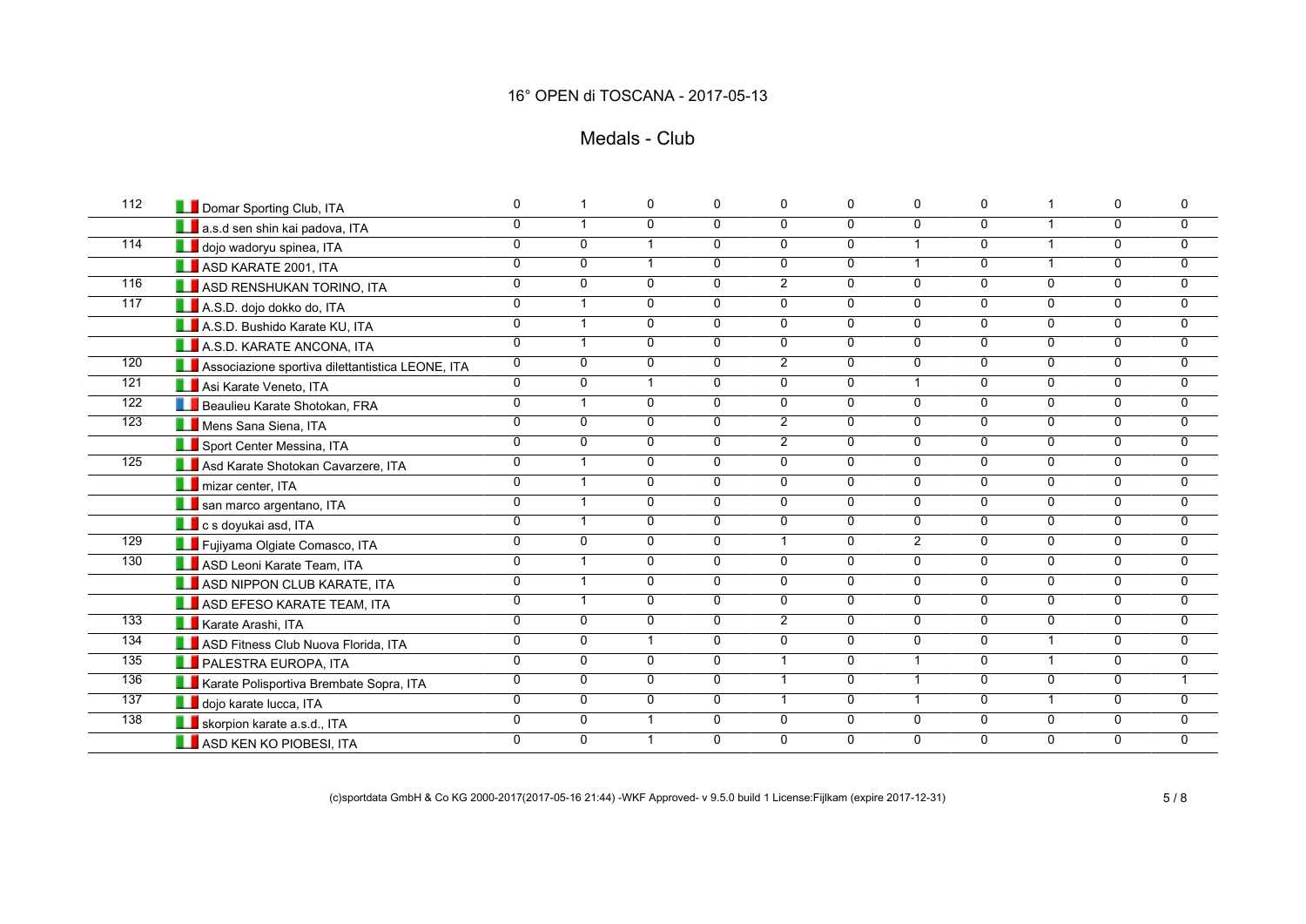## Medals - Club

| 112              | Domar Sporting Club, ITA                         | 0              |                         | $\mathbf 0$    | $\Omega$       | 0              | 0              | $\Omega$             | $\mathbf 0$    | $\mathbf 1$    | 0              | 0              |
|------------------|--------------------------------------------------|----------------|-------------------------|----------------|----------------|----------------|----------------|----------------------|----------------|----------------|----------------|----------------|
|                  | a.s.d sen shin kai padova, ITA                   | $\overline{0}$ | $\overline{1}$          | $\Omega$       | $\overline{0}$ | 0              | $\overline{0}$ | $\mathbf{0}$         | $\overline{0}$ | $\mathbf{1}$   | 0              | $\overline{0}$ |
| $\overline{114}$ | dojo wadoryu spinea, ITA                         | $\overline{0}$ | $\mathbf{0}$            | $\overline{ }$ | $\Omega$       | $\overline{0}$ | $\overline{0}$ | $\mathbf{1}$         | $\overline{0}$ | $\mathbf{1}$   | 0              | $\overline{0}$ |
|                  | ASD KARATE 2001, ITA                             | 0              | $\Omega$                | $\mathbf{1}$   | $\mathbf{0}$   | 0              | $\mathbf 0$    | $\mathbf{1}$         | $\Omega$       | $\mathbf{1}$   | 0              | $\mathbf 0$    |
| 116              | <b>LE</b> ASD RENSHUKAN TORINO, ITA              | 0              | $\Omega$                | $\mathbf{0}$   | $\mathbf{0}$   | $\overline{2}$ | $\mathbf 0$    | $\Omega$             | $\Omega$       | $\Omega$       | 0              | $\mathbf 0$    |
| $\overline{117}$ | A.S.D. dojo dokko do, ITA                        | $\overline{0}$ | $\overline{1}$          | $\overline{0}$ | $\overline{0}$ | $\overline{0}$ | $\overline{0}$ | $\overline{0}$       | $\overline{0}$ | $\overline{0}$ | $\overline{0}$ | $\overline{0}$ |
|                  | A.S.D. Bushido Karate KU, ITA                    | $\overline{0}$ | $\overline{1}$          | $\Omega$       | $\mathbf{0}$   | $\overline{0}$ | $\mathbf 0$    | $\mathbf{0}$         | $\overline{0}$ | $\Omega$       | 0              | $\mathbf 0$    |
|                  | A.S.D. KARATE ANCONA, ITA                        | $\overline{0}$ | $\overline{1}$          | $\overline{0}$ | $\overline{0}$ | $\overline{0}$ | $\overline{0}$ | $\mathbf{0}$         | $\overline{0}$ | $\overline{0}$ | $\overline{0}$ | $\overline{0}$ |
| 120              | Associazione sportiva dilettantistica LEONE, ITA | 0              | $\Omega$                | $\mathbf{0}$   | 0              | $\overline{2}$ | $\mathbf 0$    | $\mathbf{0}$         | $\Omega$       | $\Omega$       | 0              | $\overline{0}$ |
| 121              | Asi Karate Veneto, ITA                           | $\overline{0}$ | $\overline{0}$          | $\mathbf{1}$   | $\overline{0}$ | $\overline{0}$ | $\overline{0}$ | $\mathbf{1}$         | $\overline{0}$ | $\overline{0}$ | $\overline{0}$ | $\overline{0}$ |
| 122              | <b>LE</b> Beaulieu Karate Shotokan, FRA          | $\overline{0}$ | $\overline{1}$          | $\overline{0}$ | $\overline{0}$ | $\overline{0}$ | $\overline{0}$ | $\overline{0}$       | $\overline{0}$ | $\overline{0}$ | $\overline{0}$ | $\overline{0}$ |
| 123              | Mens Sana Siena, ITA                             | 0              | $\Omega$                | $\mathbf{0}$   | $\mathbf{0}$   | $\overline{2}$ | $\mathbf 0$    | $\Omega$             | $\Omega$       | $\Omega$       | 0              | $\mathbf 0$    |
|                  | Sport Center Messina, ITA                        | $\overline{0}$ | $\overline{0}$          | $\overline{0}$ | $\mathbf{0}$   | $\overline{2}$ | $\overline{0}$ | $\mathbf{0}$         | $\overline{0}$ | $\mathbf{0}$   | $\mathbf 0$    | 0              |
| 125              | Asd Karate Shotokan Cavarzere, ITA               | 0              | $\overline{1}$          | $\mathbf{0}$   | $\Omega$       | 0              | 0              | $\mathbf{0}$         | $\Omega$       | $\Omega$       | 0              | $\mathbf 0$    |
|                  | <b>T</b> mizar center, ITA                       | $\overline{0}$ | $\overline{1}$          | $\mathbf 0$    | $\mathbf 0$    | 0              | $\mathbf 0$    | 0                    | $\overline{0}$ | $\mathbf 0$    | $\mathbf 0$    | $\mathbf 0$    |
|                  | san marco argentano, ITA                         | 0              | $\overline{1}$          | $\mathbf{0}$   | $\mathbf 0$    | 0              | $\mathbf 0$    | 0                    | $\overline{0}$ | $\mathbf 0$    | $\mathbf 0$    | $\mathbf 0$    |
|                  | <b>L</b> c s doyukai asd, ITA                    | $\overline{0}$ | $\overline{\mathbf{1}}$ | $\overline{0}$ | $\overline{0}$ | $\overline{0}$ | $\overline{0}$ | $\overline{0}$       | $\overline{0}$ | $\overline{0}$ | $\overline{0}$ | $\overline{0}$ |
| 129              | Fujiyama Olgiate Comasco, ITA                    | $\overline{0}$ | $\Omega$                | $\mathbf{0}$   | $\mathbf{0}$   | $\mathbf{1}$   | $\overline{0}$ | $\overline{2}$       | $\overline{0}$ | $\mathbf{0}$   | $\mathbf 0$    | 0              |
| 130              | ASD Leoni Karate Team, ITA                       | $\overline{0}$ | $\overline{\mathbf{1}}$ | $\overline{0}$ | $\overline{0}$ | $\overline{0}$ | $\overline{0}$ | $\overline{0}$       | $\overline{0}$ | $\overline{0}$ | $\overline{0}$ | $\mathbf 0$    |
|                  | ASD NIPPON CLUB KARATE, ITA                      | $\overline{0}$ | $\overline{\mathbf{1}}$ | $\Omega$       | $\Omega$       | 0              | 0              | $\Omega$             | $\overline{0}$ | $\mathbf{0}$   | 0              | $\mathbf 0$    |
|                  | <b>LE</b> ASD EFESO KARATE TEAM, ITA             | $\overline{0}$ | $\overline{1}$          | $\overline{0}$ | $\overline{0}$ | $\overline{0}$ | $\overline{0}$ | 0                    | $\overline{0}$ | $\mathbf 0$    | $\overline{0}$ | 0              |
| 133              | Karate Arashi, ITA                               | $\overline{0}$ | $\Omega$                | $\overline{0}$ | $\mathbf{0}$   | $\overline{2}$ | $\overline{0}$ | $\mathbf{0}$         | $\overline{0}$ | $\mathbf{0}$   | 0              | $\mathbf 0$    |
| 134              | ASD Fitness Club Nuova Florida, ITA              | $\overline{0}$ | $\Omega$                | $\overline{1}$ | $\Omega$       | $\overline{0}$ | $\overline{0}$ | $\Omega$             | $\overline{0}$ | $\mathbf{1}$   | $\overline{0}$ | $\overline{0}$ |
| 135              | <b>LE</b> PALESTRA EUROPA, ITA                   | $\overline{0}$ | $\Omega$                | $\overline{0}$ | $\overline{0}$ | $\mathbf{1}$   | $\overline{0}$ | 1                    | $\overline{0}$ | $\mathbf{1}$   | $\overline{0}$ | $\overline{0}$ |
| 136              | Karate Polisportiva Brembate Sopra, ITA          | $\overline{0}$ | $\Omega$                | $\overline{0}$ | $\overline{0}$ | $\mathbf{1}$   | $\overline{0}$ | $\blacktriangleleft$ | $\overline{0}$ | $\overline{0}$ | $\overline{0}$ | $\mathbf 1$    |
| 137              | dojo karate lucca, ITA                           | 0              | $\Omega$                | $\mathbf{0}$   | $\mathbf 0$    | $\mathbf{1}$   | 0              | $\mathbf{1}$         | $\Omega$       | $\mathbf{1}$   | 0              | 0              |
| 138              | skorpion karate a.s.d., ITA                      | $\overline{0}$ | $\mathbf 0$             | $\overline{1}$ | $\mathbf 0$    | 0              | $\overline{0}$ | $\Omega$             | $\overline{0}$ | $\mathbf 0$    | $\mathbf 0$    | $\overline{0}$ |
|                  | <b>LEASD KEN KO PIOBESI, ITA</b>                 | 0              | $\Omega$                | $\overline{1}$ | $\Omega$       | 0              | 0              | $\Omega$             | $\Omega$       | $\mathbf{0}$   | 0              | $\mathbf{0}$   |

(c)sportdata GmbH & Co KG 2000-2017(2017-05-16 21:44) -WKF Approved- v 9.5.0 build 1 License:Fijlkam (expire 2017-12-31) 5 / 8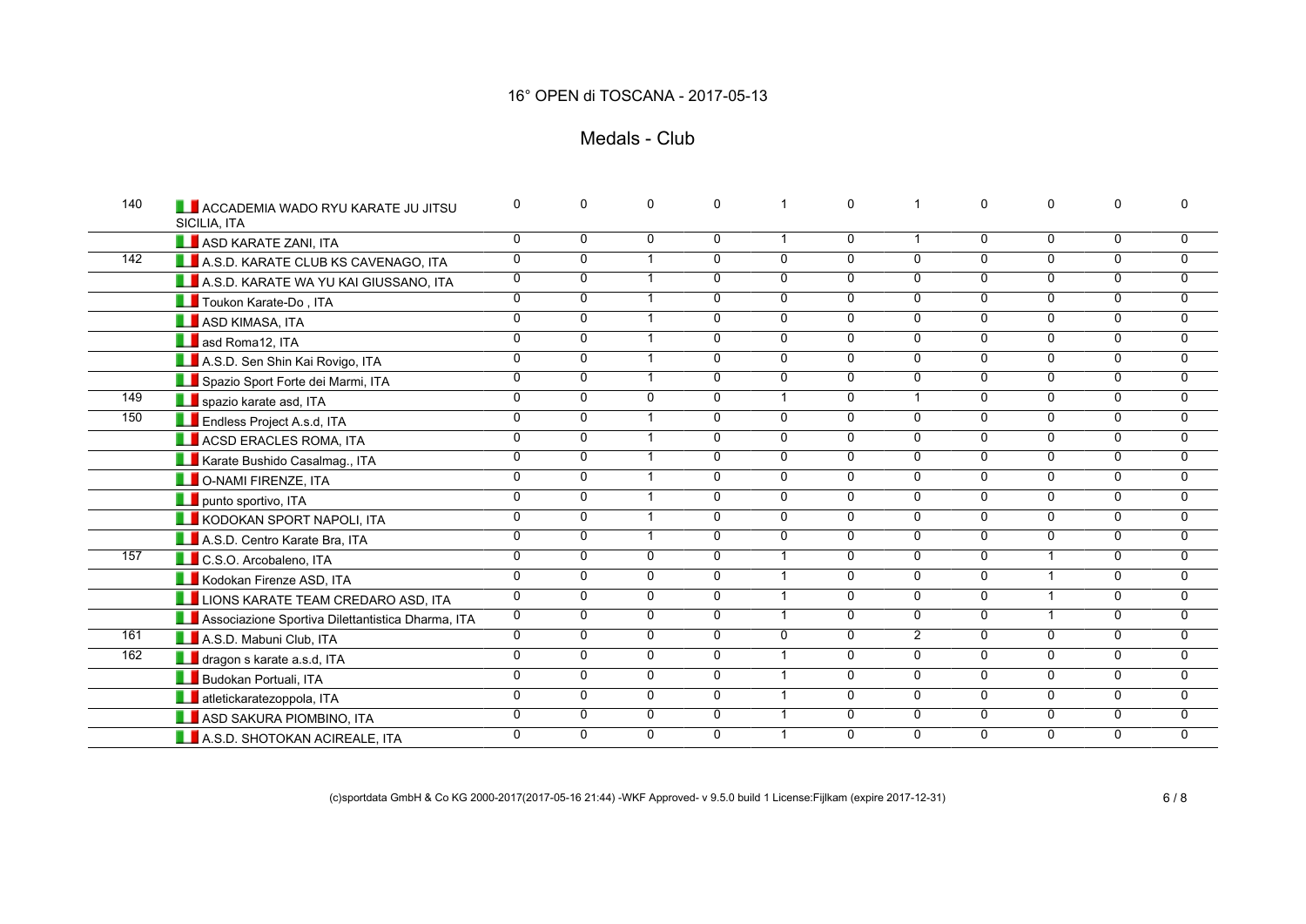## Medals - Club

| 140 | <b>LE ACCADEMIA WADO RYU KARATE JU JITSU</b><br>SICILIA, ITA | 0              | $\Omega$       | 0                       | $\mathbf 0$    |                | $\mathbf 0$    | 1              | $\Omega$       | $\mathbf{0}$   | $\mathbf{0}$   |                |
|-----|--------------------------------------------------------------|----------------|----------------|-------------------------|----------------|----------------|----------------|----------------|----------------|----------------|----------------|----------------|
|     | ASD KARATE ZANI, ITA                                         | $\overline{0}$ | 0              | 0                       | 0              | $\mathbf 1$    | 0              | $\overline{1}$ | $\mathbf{0}$   | 0              | 0              | 0              |
| 142 | A.S.D. KARATE CLUB KS CAVENAGO, ITA                          | 0              | $\mathbf 0$    | $\overline{1}$          | $\mathbf{0}$   | $\overline{0}$ | $\overline{0}$ | $\Omega$       | $\Omega$       | $\mathbf{0}$   | $\mathbf{0}$   | $\overline{0}$ |
|     | A.S.D. KARATE WA YU KAI GIUSSANO, ITA                        | $\mathbf 0$    | $\mathbf 0$    |                         | $\mathbf{0}$   | $\mathbf{0}$   | $\mathbf 0$    | $\Omega$       | $\mathbf{0}$   | $\mathbf{0}$   | $\Omega$       | $\Omega$       |
|     | Toukon Karate-Do, ITA                                        | $\overline{0}$ | $\overline{0}$ |                         | $\overline{0}$ | 0              | $\overline{0}$ | $\overline{0}$ | $\Omega$       | $\overline{0}$ | $\Omega$       | $\overline{0}$ |
|     | ASD KIMASA, ITA                                              | $\overline{0}$ | $\overline{0}$ | $\overline{\mathbf{1}}$ | $\overline{0}$ | $\Omega$       | $\overline{0}$ | $\overline{0}$ | $\overline{0}$ | $\overline{0}$ | $\Omega$       | 0              |
|     | <b>B</b> asd Roma12, ITA                                     | $\mathbf 0$    | $\Omega$       |                         | $\mathbf{0}$   | $\mathbf{0}$   | $\mathbf 0$    | $\mathbf{0}$   | $\mathbf{0}$   | $\mathbf{0}$   | $\mathbf{0}$   | $\Omega$       |
|     | A.S.D. Sen Shin Kai Rovigo, ITA                              | $\overline{0}$ | $\overline{0}$ |                         | $\mathbf{0}$   | 0              | $\overline{0}$ | $\overline{0}$ | $\overline{0}$ | $\overline{0}$ | $\mathbf 0$    | $\overline{0}$ |
|     | Spazio Sport Forte dei Marmi, ITA                            | $\mathbf 0$    | $\mathbf 0$    | $\overline{1}$          | $\mathbf{0}$   | 0              | $\overline{0}$ | $\overline{0}$ | $\overline{0}$ | $\Omega$       | $\Omega$       | 0              |
| 149 | spazio karate asd, ITA                                       | $\mathbf 0$    | $\Omega$       | $\Omega$                | $\mathbf{0}$   | $\mathbf{1}$   | 0              | $\mathbf{1}$   | $\Omega$       | $\Omega$       | $\mathbf{0}$   | $\Omega$       |
| 150 | <b>Example 1</b> Endless Project A.s.d, ITA                  | $\overline{0}$ | 0              |                         | $\mathbf 0$    | 0              | $\overline{0}$ | $\mathbf 0$    | $\Omega$       | $\mathbf 0$    | 0              | 0              |
|     | <b>ACSD ERACLES ROMA, ITA</b>                                | $\mathbf 0$    | $\Omega$       | $\overline{ }$          | $\mathbf{0}$   | $\Omega$       | $\overline{0}$ | $\Omega$       | $\mathbf{0}$   | $\mathbf{0}$   | $\mathbf{0}$   | $\Omega$       |
|     | Karate Bushido Casalmag., ITA                                | $\mathbf 0$    | $\mathbf 0$    |                         | $\mathbf{0}$   | $\mathbf{0}$   | $\overline{0}$ | $\mathbf 0$    | $\Omega$       | $\Omega$       | $\Omega$       | 0              |
|     | <b>LE</b> O-NAMI FIRENZE, ITA                                | $\mathbf 0$    | $\mathbf 0$    |                         | $\mathbf 0$    | $\overline{0}$ | $\overline{0}$ | $\mathbf 0$    | $\mathbf 0$    | $\mathbf 0$    | $\mathbf 0$    | $\overline{0}$ |
|     | <b>LE</b> punto sportivo, ITA                                | $\overline{0}$ | $\overline{0}$ | $\blacktriangleleft$    | $\overline{0}$ | $\overline{0}$ | $\overline{0}$ | $\overline{0}$ | $\overline{0}$ | $\overline{0}$ | $\overline{0}$ | $\overline{0}$ |
|     | <b>LE KODOKAN SPORT NAPOLI, ITA</b>                          | $\mathbf 0$    | $\mathbf{0}$   | $\overline{1}$          | $\mathbf{0}$   | $\mathbf{0}$   | $\mathbf 0$    | $\mathbf{0}$   | $\Omega$       | $\Omega$       | $\Omega$       | $\mathbf{0}$   |
|     | A.S.D. Centro Karate Bra, ITA                                | $\overline{0}$ | $\mathbf 0$    | $\mathbf 1$             | $\overline{0}$ | 0              | $\overline{0}$ | $\overline{0}$ | $\overline{0}$ | $\overline{0}$ | $\mathbf 0$    | 0              |
| 157 | <b>LE</b> C.S.O. Arcobaleno, ITA                             | $\mathbf 0$    | $\mathbf 0$    | 0                       | $\mathbf{0}$   | $\mathbf{1}$   | $\mathbf 0$    | $\mathbf{0}$   | $\Omega$       | $\mathbf{1}$   | $\mathbf{0}$   | 0              |
|     | Kodokan Firenze ASD, ITA                                     | $\overline{0}$ | $\overline{0}$ | $\Omega$                | $\overline{0}$ | $\mathbf{1}$   | $\overline{0}$ | $\overline{0}$ | $\overline{0}$ | $\mathbf{1}$   | $\mathbf{0}$   | $\overline{0}$ |
|     | LUIDNS KARATE TEAM CREDARO ASD, ITA                          | $\overline{0}$ | $\overline{0}$ | 0                       | $\overline{0}$ | $\mathbf{1}$   | $\overline{0}$ | $\overline{0}$ | $\overline{0}$ | $\mathbf{1}$   | $\mathbf 0$    | 0              |
|     | Associazione Sportiva Dilettantistica Dharma, ITA            | $\mathbf 0$    | $\Omega$       | 0                       | $\mathbf{0}$   | $\mathbf{1}$   | $\mathbf{0}$   | $\mathbf{0}$   | $\Omega$       | $\mathbf{1}$   | $\mathbf{0}$   | $\Omega$       |
| 161 | A.S.D. Mabuni Club, ITA                                      | 0              | $\mathbf 0$    | 0                       | $\mathbf{0}$   | $\mathbf 0$    | $\overline{0}$ | $\overline{2}$ | $\Omega$       | $\Omega$       | $\Omega$       | 0              |
| 162 | dragon s karate a.s.d, ITA                                   | $\overline{0}$ | $\mathbf 0$    | 0                       | $\mathbf 0$    | $\mathbf{1}$   | $\overline{0}$ | $\mathbf 0$    | $\mathbf 0$    | $\mathbf 0$    | $\mathbf 0$    | 0              |
|     | <b>Budokan Portuali</b> , ITA                                | $\overline{0}$ | $\overline{0}$ | $\overline{0}$          | $\overline{0}$ | $\mathbf{1}$   | $\overline{0}$ | $\overline{0}$ | $\overline{0}$ | $\overline{0}$ | $\overline{0}$ | $\overline{0}$ |
|     | <b>Lates</b> atletickaratezoppola, ITA                       | 0              | $\mathbf 0$    | $\overline{0}$          | $\mathbf{0}$   | $\mathbf{1}$   | $\overline{0}$ | $\overline{0}$ | $\Omega$       | $\mathbf{0}$   | $\mathbf{0}$   | $\mathbf 0$    |
|     | <b>LE</b> ASD SAKURA PIOMBINO, ITA                           | $\overline{0}$ | $\overline{0}$ | $\overline{0}$          | $\overline{0}$ | $\mathbf{1}$   | $\overline{0}$ | $\overline{0}$ | $\overline{0}$ | $\overline{0}$ | $\overline{0}$ | $\overline{0}$ |
|     | A.S.D. SHOTOKAN ACIREALE, ITA                                | 0              | $\Omega$       | 0                       | $\mathbf{0}$   | $\mathbf{1}$   | $\overline{0}$ | $\Omega$       | $\Omega$       | $\mathbf{0}$   | $\mathbf{0}$   | $\Omega$       |

(c)sportdata GmbH & Co KG 2000-2017(2017-05-16 21:44) -WKF Approved- v 9.5.0 build 1 License:Fijlkam (expire 2017-12-31) 6 / 8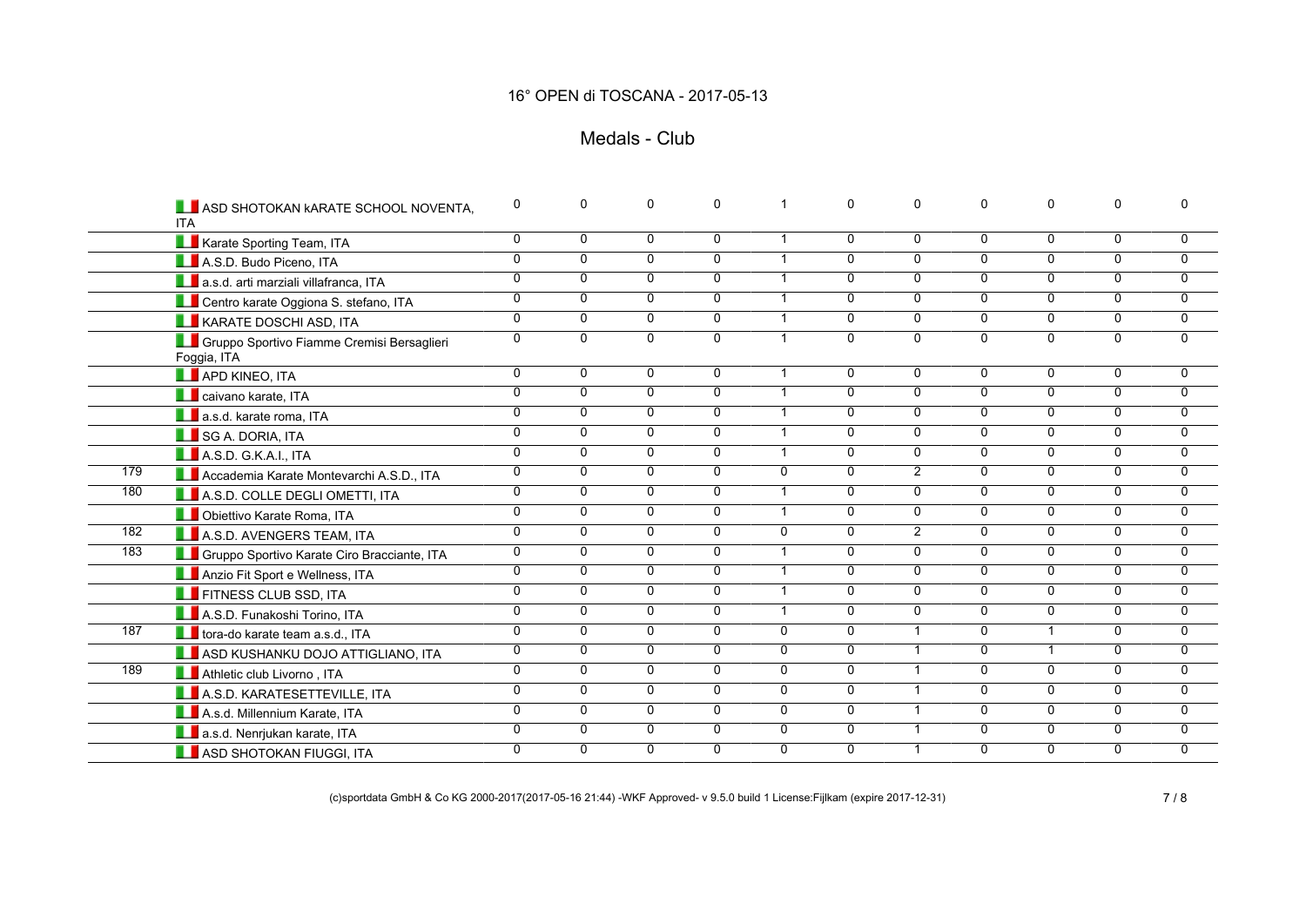## Medals - Club

|     | <b>LEASD SHOTOKAN KARATE SCHOOL NOVENTA,</b><br><b>ITA</b>          | 0              | $\mathbf 0$    | $\mathbf{0}$   | $\Omega$       |                | 0              | $\mathbf{0}$   | $\Omega$       | $\mathbf{0}$   | $\Omega$       | 0              |
|-----|---------------------------------------------------------------------|----------------|----------------|----------------|----------------|----------------|----------------|----------------|----------------|----------------|----------------|----------------|
|     | Karate Sporting Team, ITA                                           | $\overline{0}$ | $\overline{0}$ | $\Omega$       | 0              | $\overline{1}$ | 0              | $\mathbf 0$    | $\mathbf{0}$   | $\mathbf{0}$   | $\Omega$       | 0              |
|     | A.S.D. Budo Piceno, ITA                                             | $\overline{0}$ | $\overline{0}$ | $\overline{0}$ | $\overline{0}$ | $\overline{1}$ | $\overline{0}$ | $\overline{0}$ | $\mathbf{0}$   | $\overline{0}$ | $\mathbf{0}$   | $\overline{0}$ |
|     | a.s.d. arti marziali villafranca, ITA                               | $\overline{0}$ | $\mathbf 0$    | $\Omega$       | $\Omega$       | $\overline{1}$ | 0              | $\mathbf 0$    | $\Omega$       | $\mathbf{0}$   | $\Omega$       | 0              |
|     | <b>LE</b> Centro karate Oggiona S. stefano, ITA                     | $\overline{0}$ | $\overline{0}$ | $\overline{0}$ | $\overline{0}$ | $\overline{1}$ | $\overline{0}$ | $\overline{0}$ | $\overline{0}$ | $\overline{0}$ | $\overline{0}$ | $\Omega$       |
|     | <b>LE</b> KARATE DOSCHI ASD, ITA                                    | $\overline{0}$ | $\mathbf 0$    | $\Omega$       | $\mathbf 0$    | $\overline{1}$ | 0              | $\mathbf 0$    | $\Omega$       | $\Omega$       | $\Omega$       | 0              |
|     | <b>LE</b> Gruppo Sportivo Fiamme Cremisi Bersaglieri<br>Foggia, ITA | $\overline{0}$ | $\overline{0}$ | $\overline{0}$ | $\overline{0}$ | $\overline{1}$ | $\overline{0}$ | $\overline{0}$ | $\overline{0}$ | $\overline{0}$ | $\overline{0}$ | $\overline{0}$ |
|     | <b>APD KINEO, ITA</b>                                               | 0              | $\overline{0}$ | $\Omega$       | $\Omega$       | $\overline{1}$ | 0              | 0              | $\Omega$       | $\mathbf{0}$   | $\mathbf{0}$   | 0              |
|     | <b>La</b> caivano karate, ITA                                       | $\overline{0}$ | $\overline{0}$ | $\overline{0}$ | $\overline{0}$ | $\mathbf 1$    | $\overline{0}$ | $\overline{0}$ | $\overline{0}$ | $\overline{0}$ | 0              | 0              |
|     | <b>LE</b> a.s.d. karate roma. ITA                                   | $\overline{0}$ | $\overline{0}$ | $\Omega$       | $\overline{0}$ | $\overline{1}$ | $\overline{0}$ | $\overline{0}$ | $\overline{0}$ | $\overline{0}$ | $\Omega$       | 0              |
|     | SG A. DORIA, ITA                                                    | 0              | $\mathbf 0$    | $\Omega$       | $\mathbf{0}$   | $\overline{1}$ | 0              | $\mathbf 0$    | $\Omega$       | $\mathbf{0}$   | $\Omega$       | 0              |
|     | A.S.D. G.K.A.I., ITA                                                | $\overline{0}$ | $\overline{0}$ | $\overline{0}$ | $\overline{0}$ | $\overline{1}$ | $\overline{0}$ | $\overline{0}$ | $\overline{0}$ | $\overline{0}$ | $\overline{0}$ | 0              |
| 179 | Accademia Karate Montevarchi A.S.D., ITA                            | $\mathbf 0$    | $\mathbf 0$    | $\Omega$       | $\Omega$       | $\mathbf{0}$   | 0              | $\overline{2}$ | $\Omega$       | $\Omega$       | $\mathbf{0}$   | $\mathbf 0$    |
| 180 | A.S.D. COLLE DEGLI OMETTI, ITA                                      | 0              | $\mathbf 0$    | $\Omega$       | 0              |                | 0              | $\mathbf 0$    | $\mathbf{0}$   | $\mathbf{0}$   | $\Omega$       | 0              |
|     | <b>LE</b> Obiettivo Karate Roma, ITA                                | $\overline{0}$ | $\overline{0}$ | $\overline{0}$ | $\overline{0}$ | $\overline{1}$ | $\overline{0}$ | $\overline{0}$ | $\overline{0}$ | $\overline{0}$ | $\overline{0}$ | $\overline{0}$ |
| 182 | A.S.D. AVENGERS TEAM, ITA                                           | $\overline{0}$ | $\mathbf 0$    | $\overline{0}$ | $\Omega$       | $\mathbf{0}$   | 0              | $\overline{2}$ | $\Omega$       | $\mathbf{0}$   | 0              | $\mathbf 0$    |
| 183 | <b>CE Gruppo Sportivo Karate Ciro Bracciante, ITA</b>               | 0              | $\mathbf 0$    | $\Omega$       | $\Omega$       | $\overline{1}$ | 0              | $\Omega$       | $\Omega$       | $\Omega$       | $\Omega$       | 0              |
|     | Anzio Fit Sport e Wellness, ITA                                     | $\overline{0}$ | $\overline{0}$ | $\Omega$       | 0              | $\overline{1}$ | $\overline{0}$ | $\mathbf 0$    | $\Omega$       | $\mathbf{0}$   | $\mathbf 0$    | 0              |
|     | <b>THE FITNESS CLUB SSD, ITA</b>                                    | $\overline{0}$ | $\overline{0}$ | $\overline{0}$ | $\overline{0}$ | $\overline{1}$ | $\overline{0}$ | $\overline{0}$ | $\overline{0}$ | $\overline{0}$ | $\overline{0}$ | 0              |
|     | A.S.D. Funakoshi Torino, ITA                                        | $\overline{0}$ | $\overline{0}$ | $\overline{0}$ | $\overline{0}$ | $\overline{1}$ | $\overline{0}$ | $\overline{0}$ | $\overline{0}$ | $\overline{0}$ | $\overline{0}$ | $\overline{0}$ |
| 187 | tora-do karate team a.s.d., ITA                                     | $\overline{0}$ | $\overline{0}$ | $\overline{0}$ | $\overline{0}$ | $\mathbf{0}$   | $\overline{0}$ | $\overline{1}$ | $\Omega$       | $\mathbf{1}$   | $\Omega$       | 0              |
|     | ASD KUSHANKU DOJO ATTIGLIANO, ITA                                   | 0              | $\mathbf 0$    | $\Omega$       | $\Omega$       | $\mathbf{0}$   | 0              | $\overline{1}$ | $\Omega$       | $\mathbf{1}$   | $\Omega$       | 0              |
| 189 | Athletic club Livorno, ITA                                          | $\overline{0}$ | $\overline{0}$ | $\overline{0}$ | $\overline{0}$ | $\overline{0}$ | $\overline{0}$ | $\overline{1}$ | $\mathbf 0$    | $\mathbf 0$    | 0              | $\overline{0}$ |
|     | A.S.D. KARATESETTEVILLE, ITA                                        | $\overline{0}$ | $\overline{0}$ | $\overline{0}$ | $\overline{0}$ | $\mathbf{0}$   | $\overline{0}$ | $\overline{1}$ | $\Omega$       | $\overline{0}$ | $\Omega$       | 0              |
|     | A.s.d. Millennium Karate, ITA                                       | 0              | $\mathbf 0$    | $\Omega$       | $\mathbf{0}$   | $\mathbf{0}$   | 0              | $\mathbf{1}$   | $\mathbf{0}$   | $\Omega$       | $\Omega$       | 0              |
|     | a.s.d. Nenrjukan karate, ITA                                        | $\overline{0}$ | $\overline{0}$ | $\overline{0}$ | $\overline{0}$ | $\overline{0}$ | $\overline{0}$ | $\mathbf{1}$   | $\mathbf 0$    | $\overline{0}$ | 0              | $\overline{0}$ |
|     | <b>LE</b> ASD SHOTOKAN FIUGGI, ITA                                  | $\Omega$       | $\mathbf{0}$   | $\Omega$       | $\mathbf{0}$   | $\Omega$       | 0              | $\mathbf{1}$   | 0              | 0              | $\mathbf{0}$   | $\Omega$       |

(c)sportdata GmbH & Co KG 2000-2017(2017-05-16 21:44) -WKF Approved- v 9.5.0 build 1 License:Fijlkam (expire 2017-12-31) 7 / 8